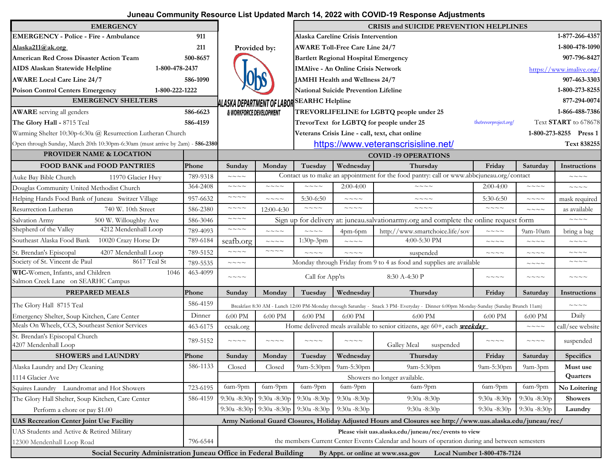## **Juneau Community Resource List Updated March 14, 2022 with COVID-19 Response Adjustments**

| <b>EMERGENCY</b>                                                               |          |                                                                                                |                        |                                       |                                             | <b>CRISIS and SUICIDE PREVENTION HELPLINES</b>                                                                                       |                             |                        |                          |  |
|--------------------------------------------------------------------------------|----------|------------------------------------------------------------------------------------------------|------------------------|---------------------------------------|---------------------------------------------|--------------------------------------------------------------------------------------------------------------------------------------|-----------------------------|------------------------|--------------------------|--|
| <b>EMERGENCY - Police - Fire - Ambulance</b>                                   | 911      |                                                                                                |                        |                                       | Alaska Careline Crisis Intervention         |                                                                                                                                      |                             |                        | 1-877-266-4357           |  |
| Alaska211@ak.org                                                               | 211      | Provided by:                                                                                   |                        | <b>AWARE Toll-Free Care Line 24/7</b> |                                             |                                                                                                                                      |                             |                        | 1-800-478-1090           |  |
| American Red Cross Disaster Action Team                                        | 500-8657 |                                                                                                |                        |                                       | <b>Bartlett Regional Hospital Emergency</b> |                                                                                                                                      |                             |                        | 907-796-8427             |  |
| AIDS Alaskan Statewide Helpline<br>1-800-478-2437                              |          |                                                                                                |                        |                                       | <b>IMAlive - An Online Crisis Network</b>   |                                                                                                                                      |                             |                        | https://www.imalive.org/ |  |
| <b>AWARE Local Care Line 24/7</b>                                              | 586-1090 |                                                                                                |                        |                                       | JAMHI Health and Wellness 24/7              |                                                                                                                                      |                             |                        | 907-463-3303             |  |
| <b>Poison Control Centers Emergency</b><br>1-800-222-1222                      |          |                                                                                                |                        |                                       | National Suicide Prevention Lifeline        |                                                                                                                                      |                             |                        | 1-800-273-8255           |  |
| <b>EMERGENCY SHELTERS</b>                                                      |          | ALASKA DEPARTMENT OF LABOR                                                                     |                        | <b>SEARHC Helpline</b>                |                                             |                                                                                                                                      |                             |                        | 877-294-0074             |  |
| <b>AWARE</b> serving all genders                                               | 586-6623 | & WORKFORCE DEVELOPMENT                                                                        |                        |                                       |                                             | TREVORLIFELINE for LGBTQ people under 25                                                                                             |                             |                        | 1-866-488-7386           |  |
| The Glory Hall - 8715 Teal                                                     | 586-4159 |                                                                                                |                        |                                       |                                             | TrevorText for LGBTQ for people under 25                                                                                             | thetrevorproject.org/       |                        | Text START to 678678     |  |
| Warming Shelter 10:30p-6:30a @ Resurrection Lutheran Church                    |          |                                                                                                |                        |                                       |                                             | Veterans Crisis Line - call, text, chat online                                                                                       |                             |                        | 1-800-273-8255 Press 1   |  |
| Open through Sunday, March 20th 10:30pm-6:30am (must arrive by 2am) - 586-2380 |          |                                                                                                |                        |                                       |                                             | https://www.veteranscrisisline.net/                                                                                                  |                             |                        | Text 838255              |  |
| PROVIDER NAME & LOCATION                                                       |          |                                                                                                |                        |                                       |                                             | <b>COVID-19 OPERATIONS</b>                                                                                                           |                             |                        |                          |  |
| <b>FOOD BANK and FOOD PANTRIES</b>                                             | Phone    | Sunday                                                                                         | Monday                 | Tuesday                               | Wednesday                                   | Thursday                                                                                                                             | Friday                      | Saturday               | Instructions             |  |
| Auke Bay Bible Church<br>11970 Glacier Hwy                                     | 789-9318 | $\sim\sim\sim\sim$                                                                             |                        |                                       |                                             | Contact us to make an appointment for the food pantry: call or www.abbcjuneau.org/contact                                            |                             |                        | $\sim\sim\sim\sim$       |  |
| Douglas Community United Methodist Church                                      | 364-2408 | $\sim\sim\sim\sim$                                                                             | $\sim\sim\:\sim\:\sim$ | $\sim\sim\sim\sim$                    | $2:00-4:00$                                 | $\sim\sim\sim\sim$                                                                                                                   | $2:00-4:00$                 | $\sim\sim\,\sim\,\sim$ | $\sim\sim\sim\sim$       |  |
| Helping Hands Food Bank of Juneau Switzer Village                              | 957-6632 | $\sim\sim\sim\sim$                                                                             | $\sim\sim\sim\sim$     | $5:30-6:50$                           | $\sim\sim\sim\sim$                          | $\sim\sim\ \sim\ \sim$                                                                                                               | $5:30-6:50$                 | $\sim\sim\,\sim\,\sim$ | mask required            |  |
| Resurrection Lutheran<br>740 W. 10th Street                                    | 586-2380 | $\sim\sim\sim\sim$                                                                             | 12:00-4:30             | $\sim\sim\sim\sim$                    | $\sim\sim\sim\sim$                          | $\sim\sim\sim\sim$                                                                                                                   | $\sim\sim\sim\sim$          | $\sim\sim\sim\sim$     | as available             |  |
| Salvation Army<br>500 W. Willoughby Ave                                        | 586-3046 | $\sim\sim\sim\sim\sim$                                                                         |                        |                                       |                                             | Sign up for delivery at: juneau.salvationarmy.org and complete the online request form                                               |                             |                        | $\sim\sim\sim\sim$       |  |
| Shepherd of the Valley<br>4212 Mendenhall Loop                                 | 789-4093 | $\sim\sim\sim\sim\sim$                                                                         | $\sim\sim\sim\sim$     | $\sim\sim\sim\sim$                    | 4pm-6pm                                     | http://www.smartchoice.life/sov                                                                                                      | $\sim\sim\sim\sim$          | $9am-10am$             | bring a bag              |  |
| Southeast Alaska Food Bank<br>10020 Crazy Horse Dr                             | 789-6184 | seafb.org                                                                                      | $\sim\sim\sim\sim$     | $1:30p-3pm$                           | $\sim\sim\sim\sim$                          | 4:00-5:30 PM                                                                                                                         | $\sim\sim\sim\sim$          | $\sim\sim\sim\sim$     | $\sim\sim\sim\sim$       |  |
| St. Brendan's Episcopal<br>4207 Mendenhall Loop                                | 789-5152 | $\sim\sim\sim\sim$                                                                             | $\sim\sim\sim\sim$     | $\sim\sim\sim\sim$                    | $\sim\sim\sim\sim$                          | suspended                                                                                                                            | $\sim\sim\sim\sim$          | $\sim\sim\sim\sim$     | $\sim\sim\,\sim\,\sim$   |  |
| Society of St. Vincent de Paul<br>8617 Teal St                                 | 789-5535 | $\sim\sim\sim\sim\sim$                                                                         |                        |                                       |                                             | Monday through Friday from 9 to 4 as food and supplies are available                                                                 |                             | $\sim\sim\sim\sim$     | $\sim\sim\sim\sim$       |  |
| WIC-Women, Infants, and Children<br>1046                                       | 463-4099 | $\sim\sim\sim\sim$                                                                             |                        | Call for App'ts                       |                                             | 8:30 A-4:30 P                                                                                                                        | $\sim\sim\sim\sim$          | $\sim\sim\sim\sim$     | $\sim\sim\sim\sim$       |  |
| Salmon Creek Lane on SEARHC Campus                                             |          |                                                                                                |                        |                                       |                                             |                                                                                                                                      |                             |                        |                          |  |
| <b>PREPARED MEALS</b>                                                          | Phone    | Sunday                                                                                         | Monday                 | Tuesday                               | Wednesday                                   | Thursday                                                                                                                             | Friday                      | Saturday               | Instructions             |  |
| The Glory Hall 8715 Teal                                                       | 586-4159 |                                                                                                |                        |                                       |                                             | Breakfast 8:30 AM - Lunch 12:00 PM-Monday through Saturday - Snack 3 PM- Everyday - Dinner 6:00pm Monday-Sunday (Sunday Brunch 11am) |                             |                        | $\sim\sim\:\sim\:\sim$   |  |
| Emergency Shelter, Soup Kitchen, Care Center                                   | Dinner   | 6:00 PM                                                                                        | 6:00 PM                | 6:00 PM                               | 6:00 PM                                     | 6:00 PM                                                                                                                              | 6:00 PM                     | 6:00 PM                | Daily                    |  |
| Meals On Wheels, CCS, Southeast Senior Services                                | 463-6175 | ccsak.org                                                                                      |                        |                                       |                                             | Home delivered meals available to senior citizens, age 60+, each <b>weekday</b>                                                      |                             | $\sim\sim\sim\sim$     | call/see website         |  |
| St. Brendan's Episcopal Church<br>4207 Mendenhall Loop                         | 789-5152 | $\sim\sim\sim\sim$                                                                             | $\sim\sim\sim\sim$     | $\sim\sim\sim\sim$                    | $\sim\sim\sim\sim$                          | Galley Meal<br>suspended                                                                                                             | $\sim\sim\sim\sim$          | $\sim\sim\:\sim\:\sim$ | suspended                |  |
| <b>SHOWERS and LAUNDRY</b>                                                     | Phone    | Sunday                                                                                         | Monday                 | Tuesday                               | Wednesday                                   | Thursday                                                                                                                             | Friday                      | Saturday               | <b>Specifics</b>         |  |
| Alaska Laundry and Dry Cleaning                                                | 586-1133 | Closed                                                                                         | Closed                 |                                       | 9am-5:30pm 9am-5:30pm                       | 9am-5:30pm                                                                                                                           | 9am-5:30pm                  | 9am-3pm                | Must use                 |  |
| 1114 Glacier Ave                                                               |          |                                                                                                |                        |                                       |                                             | Showers no longer available.                                                                                                         |                             |                        | Quarters                 |  |
| Squires Laundry Laundromat and Hot Showers                                     | 723-6195 | 6am-9pm                                                                                        | 6am-9pm                | 6am-9pm                               | 6am-9pm                                     | 6am-9pm                                                                                                                              | 6am-9pm                     | 6am-9pm                | No Loitering             |  |
| The Glory Hall Shelter, Soup Kitchen, Care Center                              | 586-4159 | $9:30a - 8:30p$                                                                                | $9:30a - 8:30p$        | $9:30a - 8:30p$                       | $9:30a - 8:30p$                             | 9:30a -8:30p                                                                                                                         | $9:30a - 8:30p$             | 9:30a -8:30p           | <b>Showers</b>           |  |
| Perform a chore or pay \$1.00                                                  |          | $9:30a - 8:30p$                                                                                | $9:30a - 8:30p$        | $9:30a - 8:30p$                       | 9:30a -8:30p                                | 9:30a -8:30p                                                                                                                         | 9:30a -8:30p                | $9:30a - 8:30p$        | Laundry                  |  |
| <b>UAS Recreation Center Joint Use Facility</b>                                |          |                                                                                                |                        |                                       |                                             | Army National Guard Closures, Holiday Adjusted Hours and Closures see http://www.uas.alaska.edu/juneau/rec/                          |                             |                        |                          |  |
| UAS Students and Active & Retired Military                                     |          |                                                                                                |                        |                                       |                                             | Please visit uas.alaska.edu/juneau/rec/events to view                                                                                |                             |                        |                          |  |
| 12300 Mendenhall Loop Road                                                     | 796-6544 | the members Current Center Events Calendar and hours of operation during and between semesters |                        |                                       |                                             |                                                                                                                                      |                             |                        |                          |  |
| Social Security Administration Juneau Office in Federal Building               |          |                                                                                                |                        |                                       |                                             | By Appt. or online at www.ssa.gov                                                                                                    | Local Number 1-800-478-7124 |                        |                          |  |